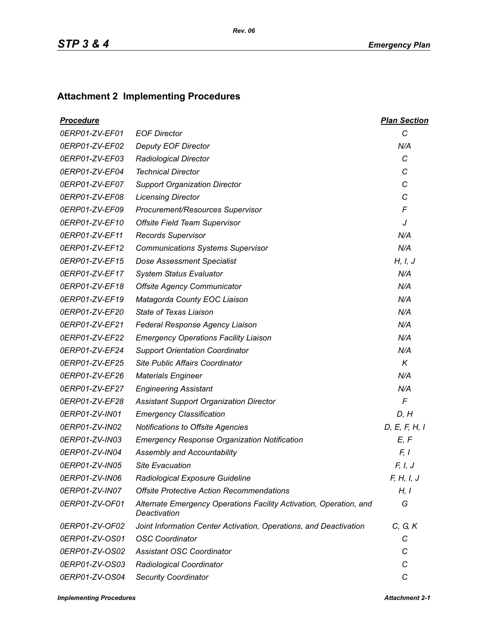## **Attachment 2 Implementing Procedures**

| <u>Procedure</u> |                                                                                    | <b>Plan Section</b> |
|------------------|------------------------------------------------------------------------------------|---------------------|
| 0ERP01-ZV-EF01   | <b>EOF Director</b>                                                                | $\mathcal{C}$       |
| 0ERP01-ZV-EF02   | <b>Deputy EOF Director</b>                                                         | N/A                 |
| 0ERP01-ZV-EF03   | <b>Radiological Director</b>                                                       | C                   |
| 0ERP01-ZV-EF04   | <b>Technical Director</b>                                                          | C                   |
| 0ERP01-ZV-EF07   | <b>Support Organization Director</b>                                               | C                   |
| 0ERP01-ZV-EF08   | <b>Licensing Director</b>                                                          | C                   |
| 0ERP01-ZV-EF09   | Procurement/Resources Supervisor                                                   | F                   |
| 0ERP01-ZV-EF10   | Offsite Field Team Supervisor                                                      | J                   |
| 0ERP01-ZV-EF11   | <b>Records Supervisor</b>                                                          | N/A                 |
| 0ERP01-ZV-EF12   | <b>Communications Systems Supervisor</b>                                           | N/A                 |
| 0ERP01-ZV-EF15   | <b>Dose Assessment Specialist</b>                                                  | H, I, J             |
| 0ERP01-ZV-EF17   | <b>System Status Evaluator</b>                                                     | N/A                 |
| 0ERP01-ZV-EF18   | <b>Offsite Agency Communicator</b>                                                 | N/A                 |
| 0ERP01-ZV-EF19   | Matagorda County EOC Liaison                                                       | N/A                 |
| 0ERP01-ZV-EF20   | <b>State of Texas Liaison</b>                                                      | N/A                 |
| 0ERP01-ZV-EF21   | Federal Response Agency Liaison                                                    | N/A                 |
| 0ERP01-ZV-EF22   | <b>Emergency Operations Facility Liaison</b>                                       | N/A                 |
| 0ERP01-ZV-EF24   | <b>Support Orientation Coordinator</b>                                             | N/A                 |
| 0ERP01-ZV-EF25   | <b>Site Public Affairs Coordinator</b>                                             | K                   |
| 0ERP01-ZV-EF26   | <b>Materials Engineer</b>                                                          | N/A                 |
| 0ERP01-ZV-EF27   | <b>Engineering Assistant</b>                                                       | N/A                 |
| 0ERP01-ZV-EF28   | <b>Assistant Support Organization Director</b>                                     | $\mathsf{F}$        |
| 0ERP01-ZV-IN01   | <b>Emergency Classification</b>                                                    | D, H                |
| 0ERP01-ZV-IN02   | Notifications to Offsite Agencies                                                  | D, E, F, H, I       |
| 0ERP01-ZV-IN03   | <b>Emergency Response Organization Notification</b>                                | E, F                |
| 0ERP01-ZV-IN04   | Assembly and Accountability                                                        | F, I                |
| 0ERP01-ZV-IN05   | <b>Site Evacuation</b>                                                             | F, I, J             |
| 0ERP01-ZV-IN06   | Radiological Exposure Guideline                                                    | F, H, I, J          |
| 0ERP01-ZV-IN07   | <b>Offsite Protective Action Recommendations</b>                                   | H, I                |
| 0ERP01-ZV-OF01   | Alternate Emergency Operations Facility Activation, Operation, and<br>Deactivation | G                   |
| 0ERP01-ZV-OF02   | Joint Information Center Activation, Operations, and Deactivation                  | C, G, K             |
| 0ERP01-ZV-OS01   | <b>OSC Coordinator</b>                                                             | С                   |
| 0ERP01-ZV-OS02   | <b>Assistant OSC Coordinator</b>                                                   | С                   |
| 0ERP01-ZV-OS03   | Radiological Coordinator                                                           | C                   |
| 0ERP01-ZV-OS04   | <b>Security Coordinator</b>                                                        | С                   |